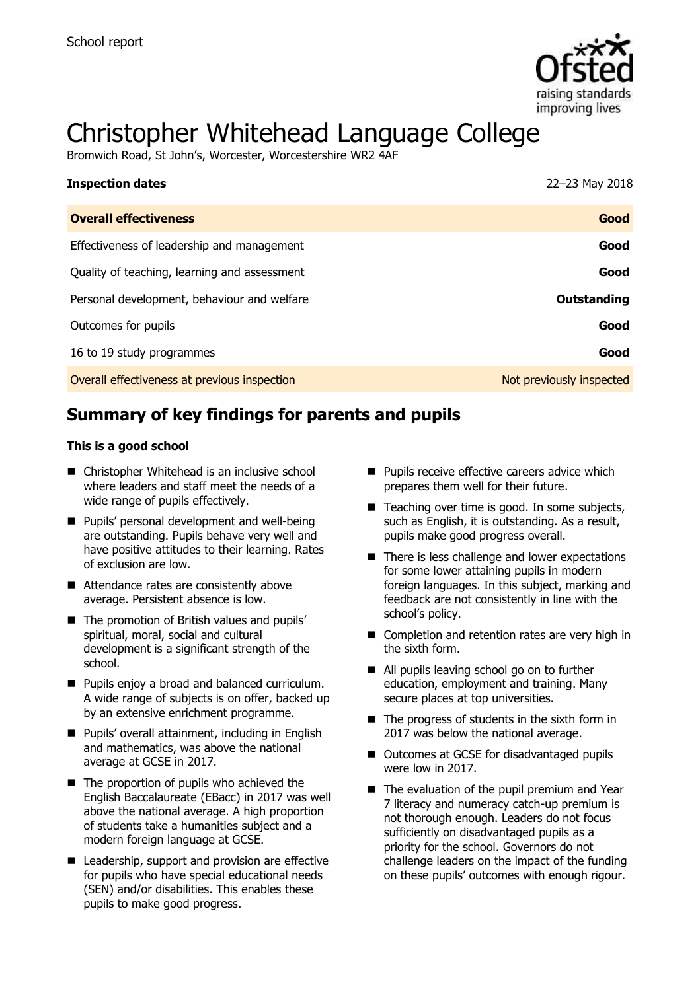

# Christopher Whitehead Language College

Bromwich Road, St John's, Worcester, Worcestershire WR2 4AF

| <b>Inspection dates</b>                      | 22-23 May 2018           |
|----------------------------------------------|--------------------------|
| <b>Overall effectiveness</b>                 | Good                     |
| Effectiveness of leadership and management   | Good                     |
| Quality of teaching, learning and assessment | Good                     |
| Personal development, behaviour and welfare  | Outstanding              |
| Outcomes for pupils                          | Good                     |
| 16 to 19 study programmes                    | Good                     |
| Overall effectiveness at previous inspection | Not previously inspected |

# **Summary of key findings for parents and pupils**

#### **This is a good school**

- Christopher Whitehead is an inclusive school where leaders and staff meet the needs of a wide range of pupils effectively.
- **Pupils' personal development and well-being** are outstanding. Pupils behave very well and have positive attitudes to their learning. Rates of exclusion are low.
- Attendance rates are consistently above average. Persistent absence is low.
- The promotion of British values and pupils' spiritual, moral, social and cultural development is a significant strength of the school.
- **Pupils enjoy a broad and balanced curriculum.** A wide range of subjects is on offer, backed up by an extensive enrichment programme.
- **Pupils' overall attainment, including in English** and mathematics, was above the national average at GCSE in 2017.
- The proportion of pupils who achieved the English Baccalaureate (EBacc) in 2017 was well above the national average. A high proportion of students take a humanities subject and a modern foreign language at GCSE.
- Leadership, support and provision are effective for pupils who have special educational needs (SEN) and/or disabilities. This enables these pupils to make good progress.
- $\blacksquare$  Pupils receive effective careers advice which prepares them well for their future.
- $\blacksquare$  Teaching over time is good. In some subjects, such as English, it is outstanding. As a result, pupils make good progress overall.
- There is less challenge and lower expectations for some lower attaining pupils in modern foreign languages. In this subject, marking and feedback are not consistently in line with the school's policy.
- Completion and retention rates are very high in the sixth form.
- All pupils leaving school go on to further education, employment and training. Many secure places at top universities.
- $\blacksquare$  The progress of students in the sixth form in 2017 was below the national average.
- Outcomes at GCSE for disadvantaged pupils were low in 2017.
- The evaluation of the pupil premium and Year 7 literacy and numeracy catch-up premium is not thorough enough. Leaders do not focus sufficiently on disadvantaged pupils as a priority for the school. Governors do not challenge leaders on the impact of the funding on these pupils' outcomes with enough rigour.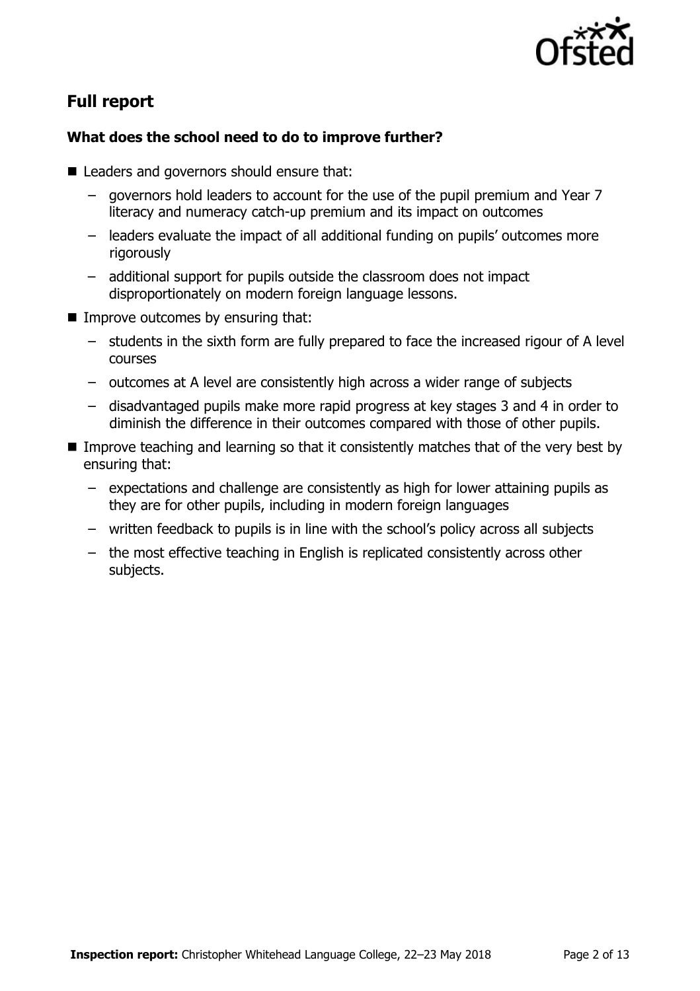

# **Full report**

# **What does the school need to do to improve further?**

- Leaders and governors should ensure that:
	- governors hold leaders to account for the use of the pupil premium and Year 7 literacy and numeracy catch-up premium and its impact on outcomes
	- leaders evaluate the impact of all additional funding on pupils' outcomes more rigorously
	- additional support for pupils outside the classroom does not impact disproportionately on modern foreign language lessons.
- **Improve outcomes by ensuring that:** 
	- students in the sixth form are fully prepared to face the increased rigour of A level courses
	- outcomes at A level are consistently high across a wider range of subjects
	- disadvantaged pupils make more rapid progress at key stages 3 and 4 in order to diminish the difference in their outcomes compared with those of other pupils.
- Improve teaching and learning so that it consistently matches that of the very best by ensuring that:
	- expectations and challenge are consistently as high for lower attaining pupils as they are for other pupils, including in modern foreign languages
	- written feedback to pupils is in line with the school's policy across all subjects
	- the most effective teaching in English is replicated consistently across other subjects.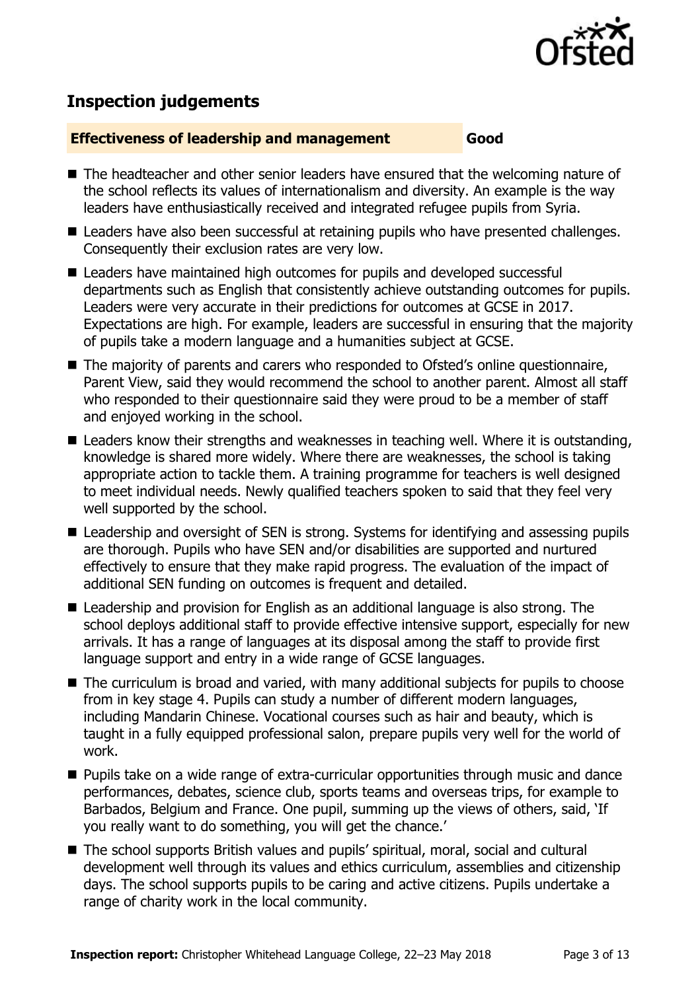

# **Inspection judgements**

#### **Effectiveness of leadership and management Good**

- The headteacher and other senior leaders have ensured that the welcoming nature of the school reflects its values of internationalism and diversity. An example is the way leaders have enthusiastically received and integrated refugee pupils from Syria.
- Leaders have also been successful at retaining pupils who have presented challenges. Consequently their exclusion rates are very low.
- Leaders have maintained high outcomes for pupils and developed successful departments such as English that consistently achieve outstanding outcomes for pupils. Leaders were very accurate in their predictions for outcomes at GCSE in 2017. Expectations are high. For example, leaders are successful in ensuring that the majority of pupils take a modern language and a humanities subject at GCSE.
- The majority of parents and carers who responded to Ofsted's online questionnaire, Parent View, said they would recommend the school to another parent. Almost all staff who responded to their questionnaire said they were proud to be a member of staff and enjoyed working in the school.
- Leaders know their strengths and weaknesses in teaching well. Where it is outstanding, knowledge is shared more widely. Where there are weaknesses, the school is taking appropriate action to tackle them. A training programme for teachers is well designed to meet individual needs. Newly qualified teachers spoken to said that they feel very well supported by the school.
- Leadership and oversight of SEN is strong. Systems for identifying and assessing pupils are thorough. Pupils who have SEN and/or disabilities are supported and nurtured effectively to ensure that they make rapid progress. The evaluation of the impact of additional SEN funding on outcomes is frequent and detailed.
- Leadership and provision for English as an additional language is also strong. The school deploys additional staff to provide effective intensive support, especially for new arrivals. It has a range of languages at its disposal among the staff to provide first language support and entry in a wide range of GCSE languages.
- The curriculum is broad and varied, with many additional subjects for pupils to choose from in key stage 4. Pupils can study a number of different modern languages, including Mandarin Chinese. Vocational courses such as hair and beauty, which is taught in a fully equipped professional salon, prepare pupils very well for the world of work.
- **Pupils take on a wide range of extra-curricular opportunities through music and dance** performances, debates, science club, sports teams and overseas trips, for example to Barbados, Belgium and France. One pupil, summing up the views of others, said, 'If you really want to do something, you will get the chance.'
- The school supports British values and pupils' spiritual, moral, social and cultural development well through its values and ethics curriculum, assemblies and citizenship days. The school supports pupils to be caring and active citizens. Pupils undertake a range of charity work in the local community.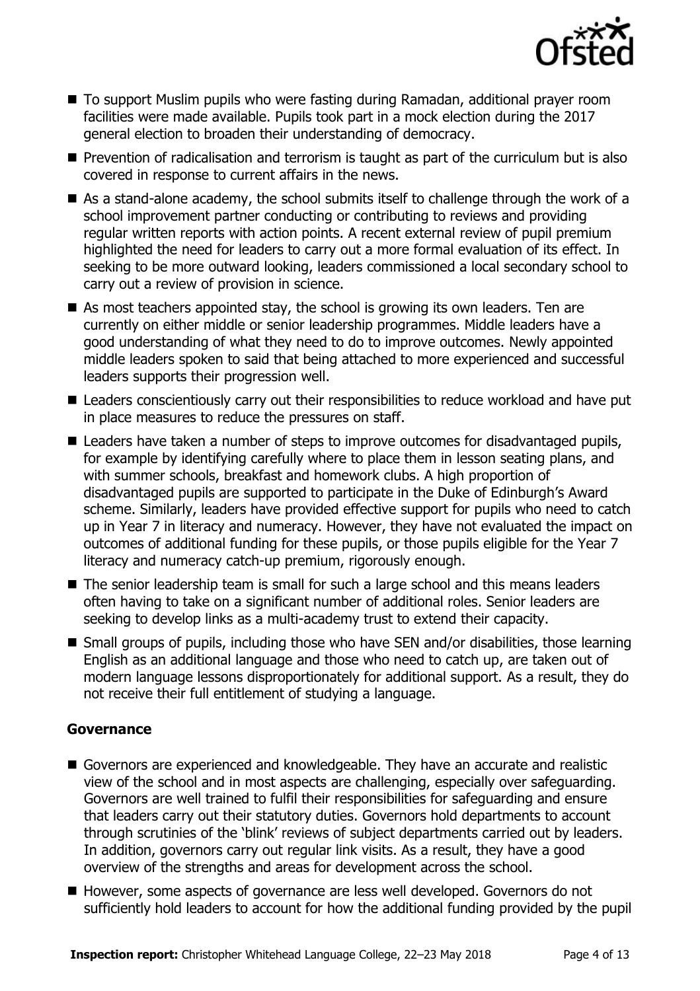

- To support Muslim pupils who were fasting during Ramadan, additional prayer room facilities were made available. Pupils took part in a mock election during the 2017 general election to broaden their understanding of democracy.
- **Prevention of radicalisation and terrorism is taught as part of the curriculum but is also** covered in response to current affairs in the news.
- As a stand-alone academy, the school submits itself to challenge through the work of a school improvement partner conducting or contributing to reviews and providing regular written reports with action points. A recent external review of pupil premium highlighted the need for leaders to carry out a more formal evaluation of its effect. In seeking to be more outward looking, leaders commissioned a local secondary school to carry out a review of provision in science.
- As most teachers appointed stay, the school is growing its own leaders. Ten are currently on either middle or senior leadership programmes. Middle leaders have a good understanding of what they need to do to improve outcomes. Newly appointed middle leaders spoken to said that being attached to more experienced and successful leaders supports their progression well.
- Leaders conscientiously carry out their responsibilities to reduce workload and have put in place measures to reduce the pressures on staff.
- Leaders have taken a number of steps to improve outcomes for disadvantaged pupils, for example by identifying carefully where to place them in lesson seating plans, and with summer schools, breakfast and homework clubs. A high proportion of disadvantaged pupils are supported to participate in the Duke of Edinburgh's Award scheme. Similarly, leaders have provided effective support for pupils who need to catch up in Year 7 in literacy and numeracy. However, they have not evaluated the impact on outcomes of additional funding for these pupils, or those pupils eligible for the Year 7 literacy and numeracy catch-up premium, rigorously enough.
- The senior leadership team is small for such a large school and this means leaders often having to take on a significant number of additional roles. Senior leaders are seeking to develop links as a multi-academy trust to extend their capacity.
- Small groups of pupils, including those who have SEN and/or disabilities, those learning English as an additional language and those who need to catch up, are taken out of modern language lessons disproportionately for additional support. As a result, they do not receive their full entitlement of studying a language.

#### **Governance**

- Governors are experienced and knowledgeable. They have an accurate and realistic view of the school and in most aspects are challenging, especially over safeguarding. Governors are well trained to fulfil their responsibilities for safeguarding and ensure that leaders carry out their statutory duties. Governors hold departments to account through scrutinies of the 'blink' reviews of subject departments carried out by leaders. In addition, governors carry out regular link visits. As a result, they have a good overview of the strengths and areas for development across the school.
- However, some aspects of governance are less well developed. Governors do not sufficiently hold leaders to account for how the additional funding provided by the pupil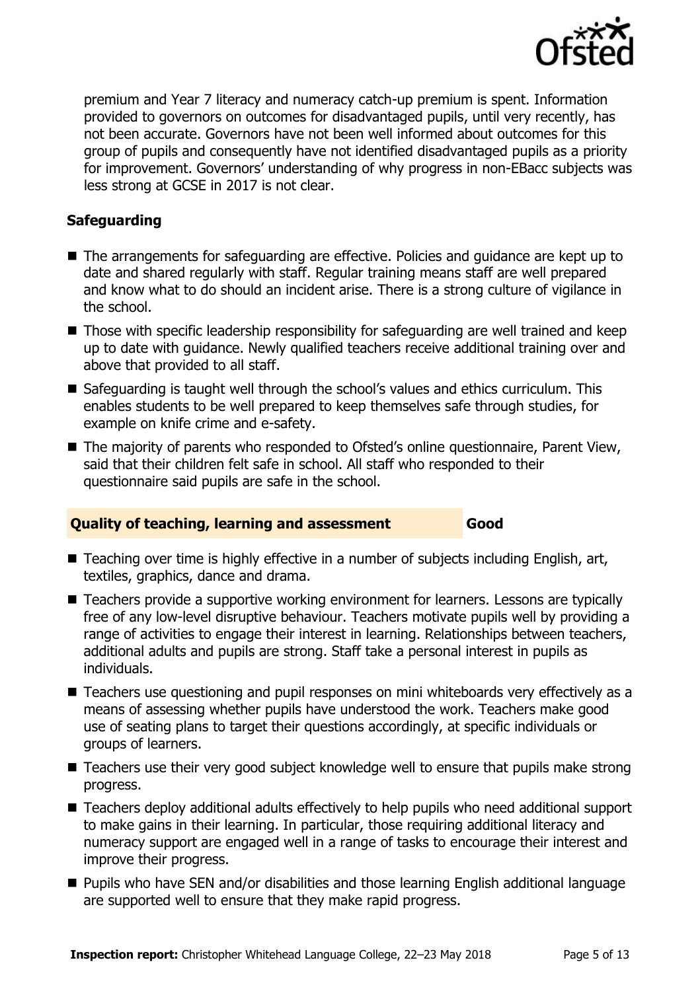

premium and Year 7 literacy and numeracy catch-up premium is spent. Information provided to governors on outcomes for disadvantaged pupils, until very recently, has not been accurate. Governors have not been well informed about outcomes for this group of pupils and consequently have not identified disadvantaged pupils as a priority for improvement. Governors' understanding of why progress in non-EBacc subjects was less strong at GCSE in 2017 is not clear.

## **Safeguarding**

- The arrangements for safeguarding are effective. Policies and guidance are kept up to date and shared regularly with staff. Regular training means staff are well prepared and know what to do should an incident arise. There is a strong culture of vigilance in the school.
- Those with specific leadership responsibility for safeguarding are well trained and keep up to date with guidance. Newly qualified teachers receive additional training over and above that provided to all staff.
- Safeguarding is taught well through the school's values and ethics curriculum. This enables students to be well prepared to keep themselves safe through studies, for example on knife crime and e-safety.
- The majority of parents who responded to Ofsted's online questionnaire, Parent View, said that their children felt safe in school. All staff who responded to their questionnaire said pupils are safe in the school.

## **Quality of teaching, learning and assessment Good**

- Teaching over time is highly effective in a number of subjects including English, art, textiles, graphics, dance and drama.
- Teachers provide a supportive working environment for learners. Lessons are typically free of any low-level disruptive behaviour. Teachers motivate pupils well by providing a range of activities to engage their interest in learning. Relationships between teachers, additional adults and pupils are strong. Staff take a personal interest in pupils as individuals.
- Teachers use questioning and pupil responses on mini whiteboards very effectively as a means of assessing whether pupils have understood the work. Teachers make good use of seating plans to target their questions accordingly, at specific individuals or groups of learners.
- Teachers use their very good subject knowledge well to ensure that pupils make strong progress.
- Teachers deploy additional adults effectively to help pupils who need additional support to make gains in their learning. In particular, those requiring additional literacy and numeracy support are engaged well in a range of tasks to encourage their interest and improve their progress.
- Pupils who have SEN and/or disabilities and those learning English additional language are supported well to ensure that they make rapid progress.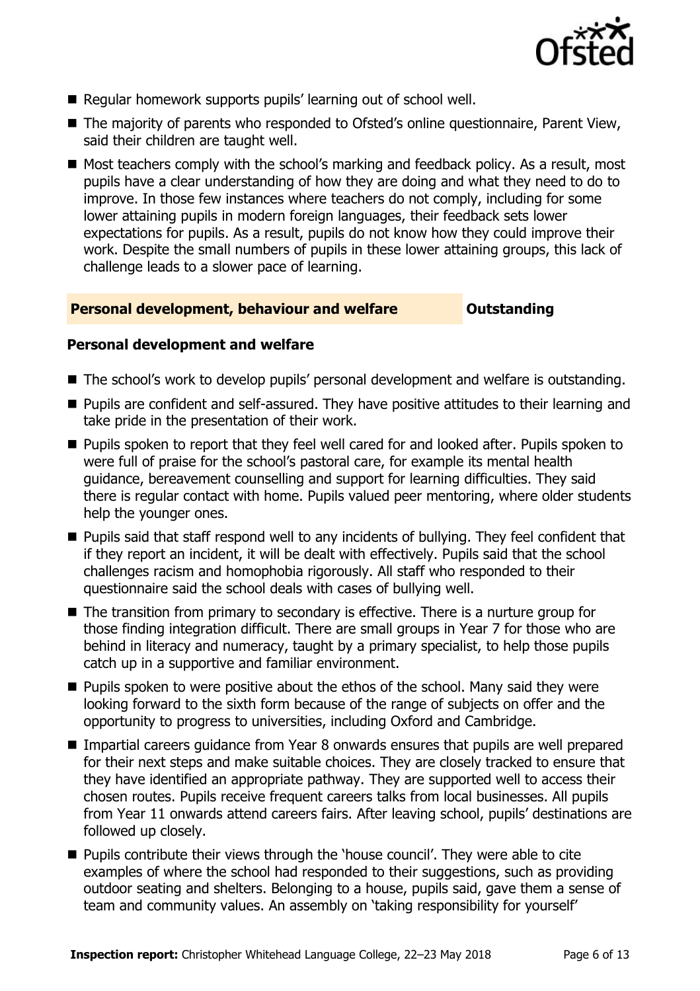

- Regular homework supports pupils' learning out of school well.
- The majority of parents who responded to Ofsted's online questionnaire, Parent View, said their children are taught well.
- Most teachers comply with the school's marking and feedback policy. As a result, most pupils have a clear understanding of how they are doing and what they need to do to improve. In those few instances where teachers do not comply, including for some lower attaining pupils in modern foreign languages, their feedback sets lower expectations for pupils. As a result, pupils do not know how they could improve their work. Despite the small numbers of pupils in these lower attaining groups, this lack of challenge leads to a slower pace of learning.

#### **Personal development, behaviour and welfare <b>COULTS** Outstanding

#### **Personal development and welfare**

- The school's work to develop pupils' personal development and welfare is outstanding.
- **Pupils are confident and self-assured. They have positive attitudes to their learning and** take pride in the presentation of their work.
- **Pupils spoken to report that they feel well cared for and looked after. Pupils spoken to** were full of praise for the school's pastoral care, for example its mental health guidance, bereavement counselling and support for learning difficulties. They said there is regular contact with home. Pupils valued peer mentoring, where older students help the younger ones.
- **Pupils said that staff respond well to any incidents of bullying. They feel confident that** if they report an incident, it will be dealt with effectively. Pupils said that the school challenges racism and homophobia rigorously. All staff who responded to their questionnaire said the school deals with cases of bullying well.
- The transition from primary to secondary is effective. There is a nurture group for those finding integration difficult. There are small groups in Year 7 for those who are behind in literacy and numeracy, taught by a primary specialist, to help those pupils catch up in a supportive and familiar environment.
- **Pupils spoken to were positive about the ethos of the school. Many said they were** looking forward to the sixth form because of the range of subjects on offer and the opportunity to progress to universities, including Oxford and Cambridge.
- Impartial careers quidance from Year 8 onwards ensures that pupils are well prepared for their next steps and make suitable choices. They are closely tracked to ensure that they have identified an appropriate pathway. They are supported well to access their chosen routes. Pupils receive frequent careers talks from local businesses. All pupils from Year 11 onwards attend careers fairs. After leaving school, pupils' destinations are followed up closely.
- **Pupils contribute their views through the 'house council'. They were able to cite** examples of where the school had responded to their suggestions, such as providing outdoor seating and shelters. Belonging to a house, pupils said, gave them a sense of team and community values. An assembly on 'taking responsibility for yourself'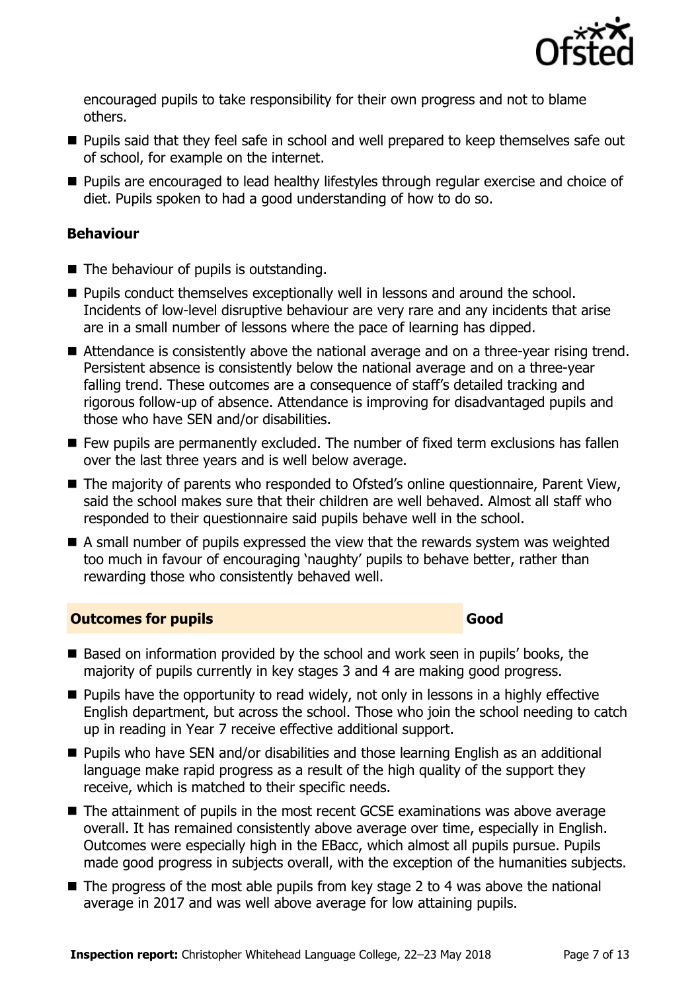

encouraged pupils to take responsibility for their own progress and not to blame others.

- **Pupils said that they feel safe in school and well prepared to keep themselves safe out** of school, for example on the internet.
- **Pupils are encouraged to lead healthy lifestyles through regular exercise and choice of** diet. Pupils spoken to had a good understanding of how to do so.

## **Behaviour**

- $\blacksquare$  The behaviour of pupils is outstanding.
- **Pupils conduct themselves exceptionally well in lessons and around the school.** Incidents of low-level disruptive behaviour are very rare and any incidents that arise are in a small number of lessons where the pace of learning has dipped.
- Attendance is consistently above the national average and on a three-year rising trend. Persistent absence is consistently below the national average and on a three-year falling trend. These outcomes are a consequence of staff's detailed tracking and rigorous follow-up of absence. Attendance is improving for disadvantaged pupils and those who have SEN and/or disabilities.
- $\blacksquare$  Few pupils are permanently excluded. The number of fixed term exclusions has fallen over the last three years and is well below average.
- The majority of parents who responded to Ofsted's online questionnaire, Parent View, said the school makes sure that their children are well behaved. Almost all staff who responded to their questionnaire said pupils behave well in the school.
- A small number of pupils expressed the view that the rewards system was weighted too much in favour of encouraging 'naughty' pupils to behave better, rather than rewarding those who consistently behaved well.

#### **Outcomes for pupils Good Good**

- Based on information provided by the school and work seen in pupils' books, the majority of pupils currently in key stages 3 and 4 are making good progress.
- **Pupils have the opportunity to read widely, not only in lessons in a highly effective** English department, but across the school. Those who join the school needing to catch up in reading in Year 7 receive effective additional support.
- Pupils who have SEN and/or disabilities and those learning English as an additional language make rapid progress as a result of the high quality of the support they receive, which is matched to their specific needs.
- The attainment of pupils in the most recent GCSE examinations was above average overall. It has remained consistently above average over time, especially in English. Outcomes were especially high in the EBacc, which almost all pupils pursue. Pupils made good progress in subjects overall, with the exception of the humanities subjects.
- $\blacksquare$  The progress of the most able pupils from key stage 2 to 4 was above the national average in 2017 and was well above average for low attaining pupils.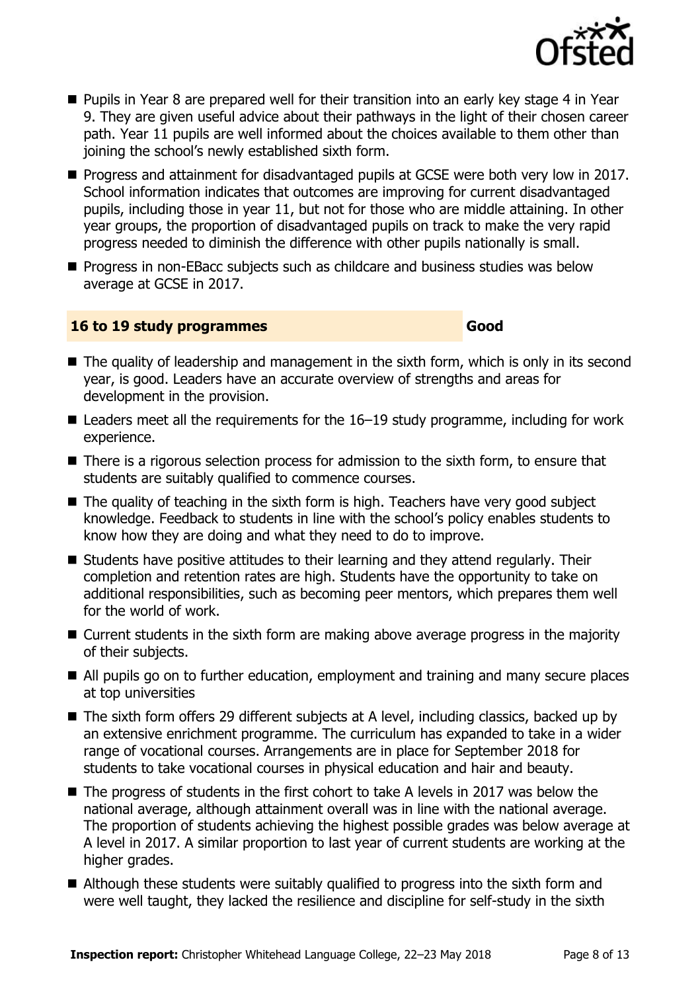

- **Pupils in Year 8 are prepared well for their transition into an early key stage 4 in Year** 9. They are given useful advice about their pathways in the light of their chosen career path. Year 11 pupils are well informed about the choices available to them other than joining the school's newly established sixth form.
- **Progress and attainment for disadvantaged pupils at GCSE were both very low in 2017.** School information indicates that outcomes are improving for current disadvantaged pupils, including those in year 11, but not for those who are middle attaining. In other year groups, the proportion of disadvantaged pupils on track to make the very rapid progress needed to diminish the difference with other pupils nationally is small.
- **Progress in non-EBacc subjects such as childcare and business studies was below** average at GCSE in 2017.

## **16 to 19 study programmes Good**

- $\blacksquare$  The quality of leadership and management in the sixth form, which is only in its second year, is good. Leaders have an accurate overview of strengths and areas for development in the provision.
- $\blacksquare$  Leaders meet all the requirements for the 16–19 study programme, including for work experience.
- There is a rigorous selection process for admission to the sixth form, to ensure that students are suitably qualified to commence courses.
- $\blacksquare$  The quality of teaching in the sixth form is high. Teachers have very good subject knowledge. Feedback to students in line with the school's policy enables students to know how they are doing and what they need to do to improve.
- Students have positive attitudes to their learning and they attend regularly. Their completion and retention rates are high. Students have the opportunity to take on additional responsibilities, such as becoming peer mentors, which prepares them well for the world of work.
- Current students in the sixth form are making above average progress in the majority of their subjects.
- All pupils go on to further education, employment and training and many secure places at top universities
- The sixth form offers 29 different subjects at A level, including classics, backed up by an extensive enrichment programme. The curriculum has expanded to take in a wider range of vocational courses. Arrangements are in place for September 2018 for students to take vocational courses in physical education and hair and beauty.
- The progress of students in the first cohort to take A levels in 2017 was below the national average, although attainment overall was in line with the national average. The proportion of students achieving the highest possible grades was below average at A level in 2017. A similar proportion to last year of current students are working at the higher grades.
- Although these students were suitably qualified to progress into the sixth form and were well taught, they lacked the resilience and discipline for self-study in the sixth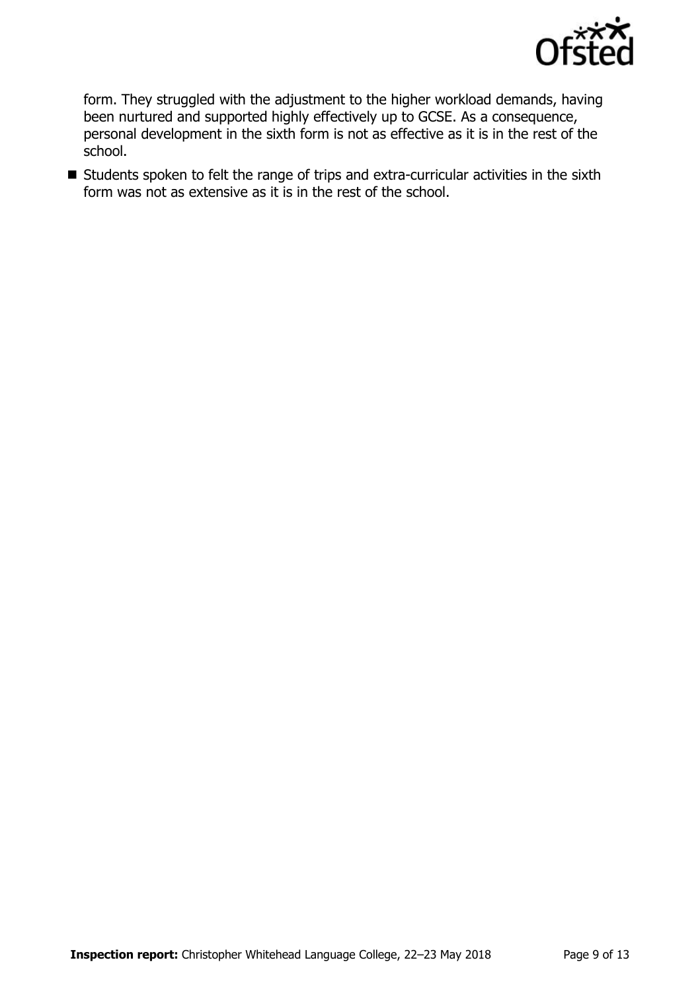

form. They struggled with the adjustment to the higher workload demands, having been nurtured and supported highly effectively up to GCSE. As a consequence, personal development in the sixth form is not as effective as it is in the rest of the school.

■ Students spoken to felt the range of trips and extra-curricular activities in the sixth form was not as extensive as it is in the rest of the school.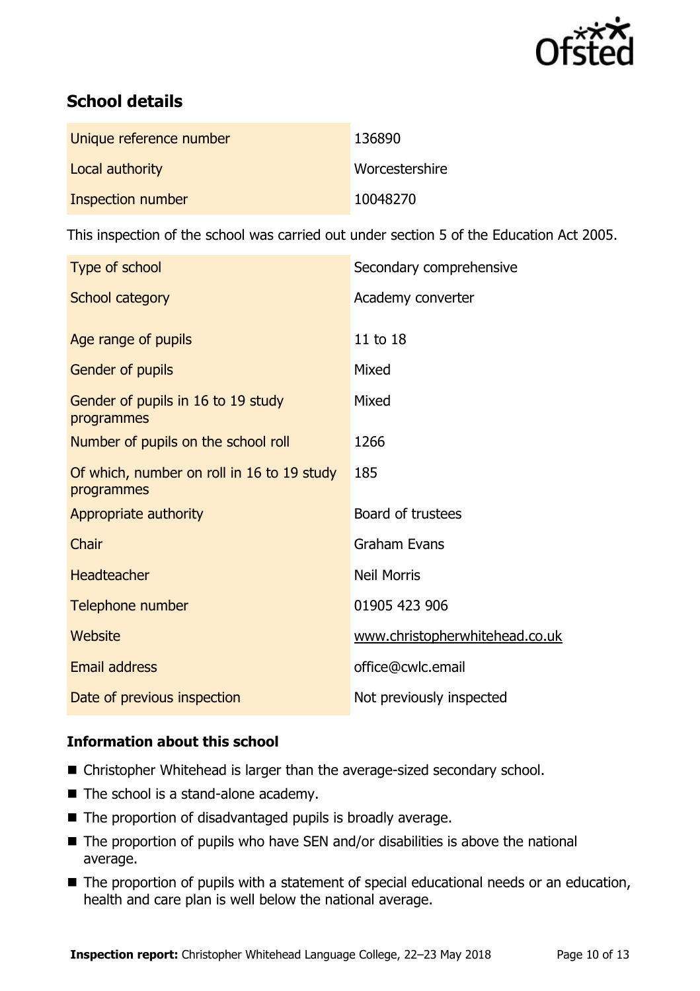

# **School details**

| Unique reference number | 136890         |
|-------------------------|----------------|
| Local authority         | Worcestershire |
| Inspection number       | 10048270       |

This inspection of the school was carried out under section 5 of the Education Act 2005.

| Type of school                                           | Secondary comprehensive        |
|----------------------------------------------------------|--------------------------------|
| School category                                          | Academy converter              |
| Age range of pupils                                      | 11 to 18                       |
| Gender of pupils                                         | Mixed                          |
| Gender of pupils in 16 to 19 study<br>programmes         | Mixed                          |
| Number of pupils on the school roll                      | 1266                           |
| Of which, number on roll in 16 to 19 study<br>programmes | 185                            |
| Appropriate authority                                    | Board of trustees              |
| Chair                                                    | <b>Graham Evans</b>            |
| <b>Headteacher</b>                                       | <b>Neil Morris</b>             |
| Telephone number                                         | 01905 423 906                  |
| Website                                                  | www.christopherwhitehead.co.uk |
| <b>Email address</b>                                     | office@cwlc.email              |
| Date of previous inspection                              | Not previously inspected       |

## **Information about this school**

- Christopher Whitehead is larger than the average-sized secondary school.
- The school is a stand-alone academy.
- The proportion of disadvantaged pupils is broadly average.
- $\blacksquare$  The proportion of pupils who have SEN and/or disabilities is above the national average.
- The proportion of pupils with a statement of special educational needs or an education, health and care plan is well below the national average.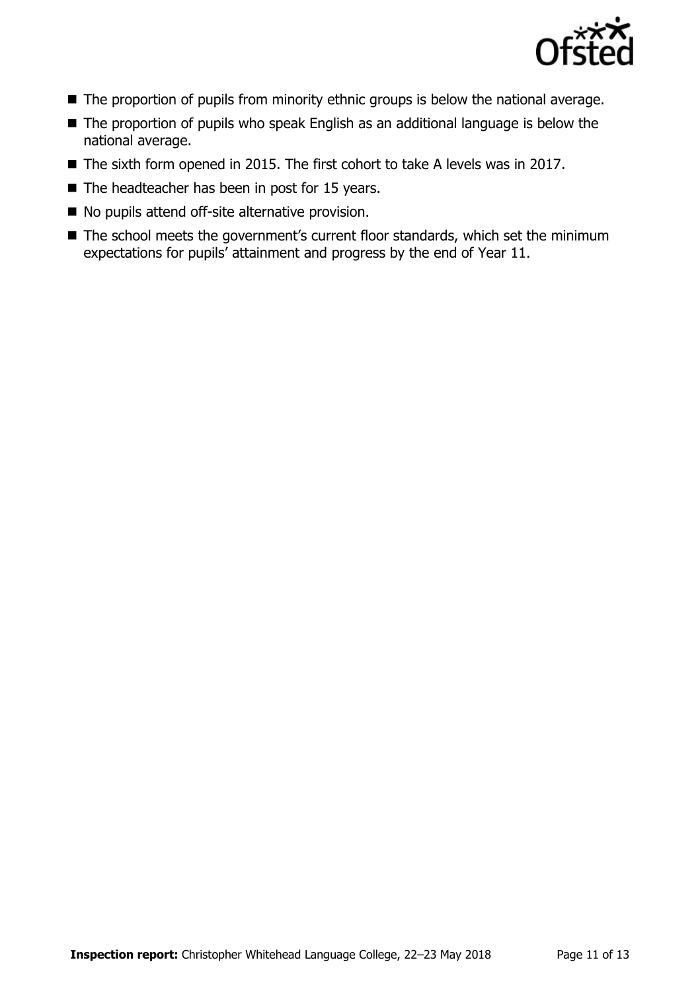

- The proportion of pupils from minority ethnic groups is below the national average.
- The proportion of pupils who speak English as an additional language is below the national average.
- The sixth form opened in 2015. The first cohort to take A levels was in 2017.
- $\blacksquare$  The headteacher has been in post for 15 years.
- No pupils attend off-site alternative provision.
- The school meets the government's current floor standards, which set the minimum expectations for pupils' attainment and progress by the end of Year 11.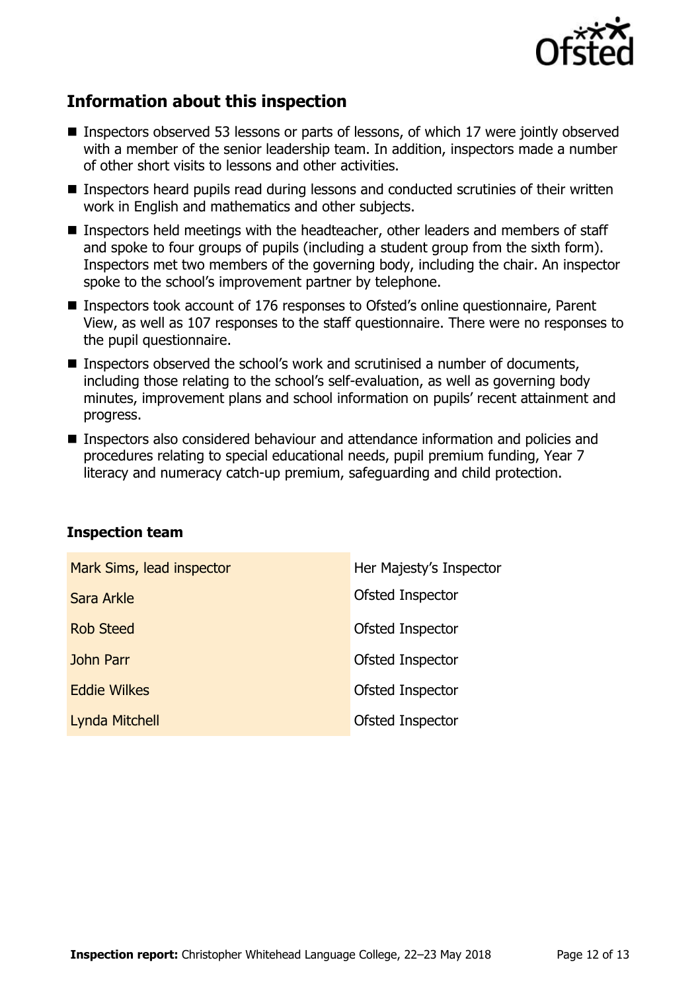

# **Information about this inspection**

- **Inspectors observed 53 lessons or parts of lessons, of which 17 were jointly observed** with a member of the senior leadership team. In addition, inspectors made a number of other short visits to lessons and other activities.
- Inspectors heard pupils read during lessons and conducted scrutinies of their written work in English and mathematics and other subjects.
- Inspectors held meetings with the headteacher, other leaders and members of staff and spoke to four groups of pupils (including a student group from the sixth form). Inspectors met two members of the governing body, including the chair. An inspector spoke to the school's improvement partner by telephone.
- Inspectors took account of 176 responses to Ofsted's online questionnaire, Parent View, as well as 107 responses to the staff questionnaire. There were no responses to the pupil questionnaire.
- **Inspectors observed the school's work and scrutinised a number of documents,** including those relating to the school's self-evaluation, as well as governing body minutes, improvement plans and school information on pupils' recent attainment and progress.
- Inspectors also considered behaviour and attendance information and policies and procedures relating to special educational needs, pupil premium funding, Year 7 literacy and numeracy catch-up premium, safeguarding and child protection.

| Mark Sims, lead inspector | Her Majesty's Inspector |
|---------------------------|-------------------------|
| Sara Arkle                | Ofsted Inspector        |
| <b>Rob Steed</b>          | Ofsted Inspector        |
| <b>John Parr</b>          | Ofsted Inspector        |
| <b>Eddie Wilkes</b>       | Ofsted Inspector        |
| <b>Lynda Mitchell</b>     | Ofsted Inspector        |

## **Inspection team**